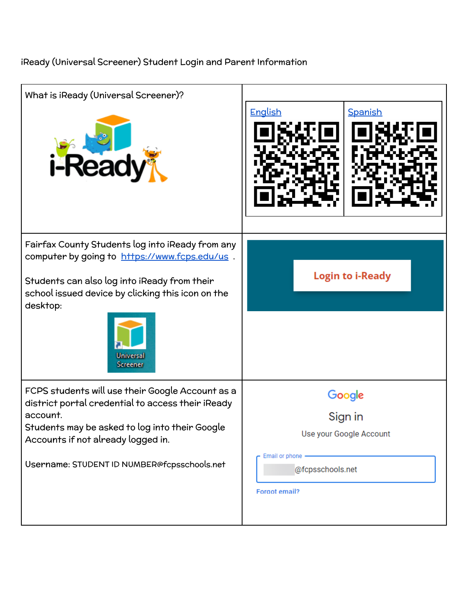## iReady (Universal Screener) Student Login and Parent Information

| What is iReady (Universal Screener)?                                                                                                                                                                                                                     |                                                                |  |
|----------------------------------------------------------------------------------------------------------------------------------------------------------------------------------------------------------------------------------------------------------|----------------------------------------------------------------|--|
| <i><b>i-Read</b></i>                                                                                                                                                                                                                                     | <b>English</b><br>Spanish                                      |  |
| Fairfax County Students log into iReady from any<br>computer by going to https://www.fcps.edu/us<br>Students can also log into iReady from their<br>school issued device by clicking this icon on the<br>desktop:<br><b>Universal</b><br><b>Screener</b> | <b>Login to i-Ready</b>                                        |  |
| FCPS students will use their Google Account as a<br>district portal credential to access their iReady<br>account.<br>Students may be asked to log into their Google<br>Accounts if not already logged in.                                                | Google<br>Sign in<br>Use your Google Account<br>Email or phone |  |
| Username: STUDENT ID NUMBER@fcpsschools.net                                                                                                                                                                                                              | @fcpsschools.net<br>Forgot email?                              |  |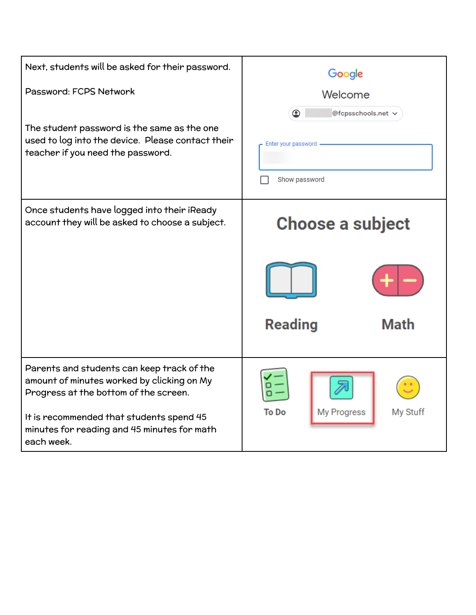| Next, students will be asked for their password.                                                                                                                                                                                           | Google                                                          |  |  |
|--------------------------------------------------------------------------------------------------------------------------------------------------------------------------------------------------------------------------------------------|-----------------------------------------------------------------|--|--|
| Password: FCPS Network                                                                                                                                                                                                                     | Welcome                                                         |  |  |
| The student password is the same as the one<br>used to log into the device. Please contact their<br>teacher if you need the password.                                                                                                      | @fcpsschools.net v<br>◉<br>Enter your password<br>Show password |  |  |
| Once students have logged into their iReady<br>account they will be asked to choose a subject.                                                                                                                                             | <b>Choose a subject</b>                                         |  |  |
|                                                                                                                                                                                                                                            | <b>Reading</b><br>Math                                          |  |  |
| Parents and students can keep track of the<br>amount of minutes worked by clicking on My<br>Progress at the bottom of the screen.<br>It is recommended that students spend 45<br>minutes for reading and 45 minutes for math<br>each week. | To Do<br>My Stuff<br><b>My Progress</b>                         |  |  |